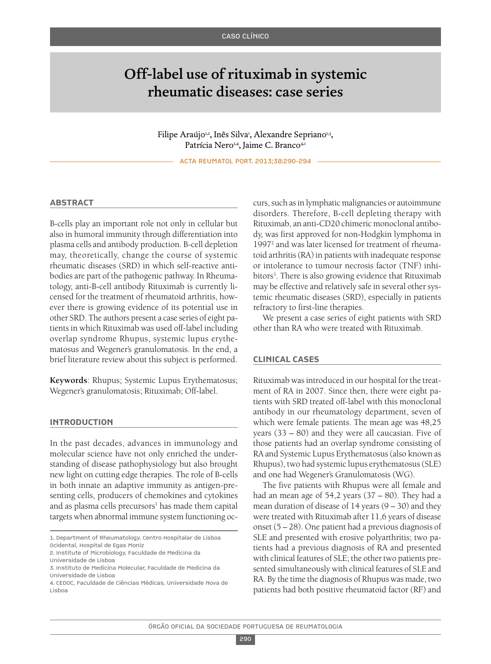# Off-label use of rituximab in systemic rheumatic diseases: case series

Filipe Araújo<sup>1,2</sup>, Inês Silva<sup>1</sup>, Alexandre Sepriano<sup>1,3</sup>, Patrícia Nero<sup>1,4</sup>, Jaime C. Branco<sup>4,1</sup>

ACTA REUMATOL PORT. 2013;38:290-294

## **AbstrAct**

B-cells play an important role not only in cellular but also in humoral immunity through differentiation into plasma cells and antibody production. B-cell depletion may, theoretically, change the course of systemic rheumatic diseases (SRD) in which self-reactive antibodies are part of the pathogenic pathway. In Rheumatology, anti-B-cell antibody Rituximab is currently licensed for the treatment of rheumatoid arthritis, however there is growing evidence of its potential use in other SRD. The authors present a case series of eight patients in which Rituximab was used off-label including overlap syndrome Rhupus, systemic lupus erythematosus and Wegener's granulomatosis. In the end, a brief literature review about this subject is performed.

**Keywords**: Rhupus; Systemic Lupus Erythematosus; Wegener's granulomatosis; Rituximab; Off-label.

## **IntroductIon**

In the past decades, advances in immunology and molecular science have not only enriched the understanding of disease pathophysiology but also brought new light on cutting edge therapies. The role of B-cells in both innate an adaptive immunity as antigen-presenting cells, producers of chemokines and cytokines and as plasma cells precursors<sup>1</sup> has made them capital targets when abnormal immune system functioning occurs, such as in lymphatic malignancies or autoimmune disorders. Therefore, B-cell depleting therapy with Rituximab, an anti-CD20 chimeric monoclonal antibody, was first approved for non-Hodgkin lymphoma in 19972 and was later licensed for treatment of rheumatoid arthritis(RA) in patients with inadequate response or intolerance to tumour necrosis factor (TNF) inhibitors<sup>3</sup>. There is also growing evidence that Rituximab may be effective and relatively safe in several other systemic rheumatic diseases (SRD), especially in patients refractory to first-line therapies.

We present a case series of eight patients with SRD other than RA who were treated with Rituximab.

## **clInIcAl cAses**

Rituximab was introduced in our hospital for the treatment of RA in 2007. Since then, there were eight patients with SRD treated off-label with this monoclonal antibody in our rheumatology department, seven of which were female patients. The mean age was 48,25 years (33 – 80) and they were all caucasian. Five of those patients had an overlap syndrome consisting of RA and Systemic Lupus Erythematosus(also known as Rhupus), two had systemic lupus erythematosus(SLE) and one had Wegener's Granulomatosis (WG).

The five patients with Rhupus were all female and had an mean age of 54,2 years (37 – 80). They had a mean duration of disease of 14 years (9 – 30) and they were treated with Rituximab after 11,6 years of disease onset (5 – 28). One patient had a previous diagnosis of SLE and presented with erosive polyarthritis; two patients had a previous diagnosis of RA and presented with clinical features of SLE; the other two patients presented simultaneously with clinical features of SLE and RA. By the time the diagnosis of Rhupus was made, two patients had both positive rheumatoid factor (RF) and

<sup>1.</sup> Department of Rheumatology, Centro Hospitalar de Lisboa Ocidental, Hospital de Egas Moniz

<sup>2.</sup> Institute of Microbiology, Faculdade de Medicina da

Universidade de Lisboa

<sup>3.</sup> Instituto de Medicina Molecular, Faculdade de Medicina da Universidade de Lisboa

<sup>4.</sup> CEDOC, Faculdade de Ciências Médicas, Universidade Nova de Lisboa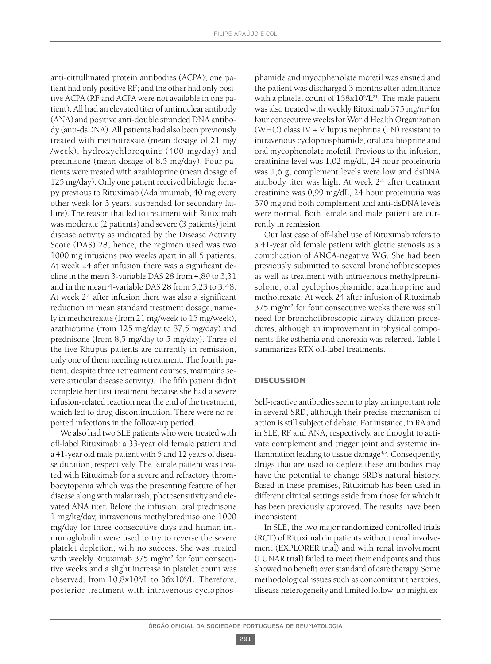anti-citrullinated protein antibodies (ACPA); one patient had only positive RF; and the other had only positive ACPA (RF and ACPA were not available in one patient). All had an elevated titer of antinuclear antibody (ANA) and positive anti-double stranded DNA antibody (anti-dsDNA). All patients had also been previously treated with methotrexate (mean dosage of 21 mg/ /week), hydroxychloroquine (400 mg/day) and prednisone (mean dosage of 8,5 mg/day). Four patients were treated with azathioprine (mean dosage of 125 mg/day). Only one patient received biologic therapy previous to Rituximab (Adalimumab, 40 mg every other week for 3 years, suspended for secondary failure). The reason that led to treatment with Rituximab was moderate (2 patients) and severe (3 patients) joint disease activity as indicated by the Disease Activity Score (DAS) 28, hence, the regimen used was two 1000 mg infusions two weeks apart in all 5 patients. At week 24 after infusion there was a significant decline in the mean 3-variable DAS 28 from 4,89 to 3,31 and in the mean 4-variable DAS 28 from 5,23 to 3,48. At week 24 after infusion there was also a significant reduction in mean standard treatment dosage, namely in methotrexate (from 21 mg/week to 15 mg/week), azathioprine (from 125 mg/day to 87,5 mg/day) and prednisone (from 8,5 mg/day to 5 mg/day). Three of the five Rhupus patients are currently in remission, only one of them needing retreatment. The fourth patient, despite three retreatment courses, maintains severe articular disease activity). The fifth patient didn't complete her first treatment because she had a severe infusion-related reaction nearthe end of the treatment, which led to drug discontinuation. There were no reported infections in the follow-up period.

We also had two SLE patients who were treated with off-label Rituximab: a 33-year old female patient and a 41-year old male patient with 5 and 12 years of disease duration, respectively. The female patient was treated with Rituximab for a severe and refractory thrombocytopenia which was the presenting feature of her disease along with malar rash, photosensitivity and elevated ANA titer. Before the infusion, oral prednisone 1 mg/kg/day, intravenous methylprednisolone 1000 mg/day for three consecutive days and human immunoglobulin were used to try to reverse the severe platelet depletion, with no success. She was treated with weekly Rituximab 375 mg/m<sup>2</sup> for four consecutive weeks and a slight increase in platelet count was observed, from 10,8x109 /L to 36x109 /L. Therefore, posterior treatment with intravenous cyclophos-

phamide and mycophenolate mofetil was ensued and the patient was discharged 3 months after admittance with a platelet count of 158x10°/L<sup>21</sup>. The male patient was also treated with weekly Rituximab 375 mg/m2 for four consecutive weeks for World Health Organization (WHO) class IV + V lupus nephritis (LN) resistant to intravenous cyclophosphamide, oral azathioprine and oral mycophenolate mofetil. Previous to the infusion, creatinine level was 1,02 mg/dL, 24 hour proteinuria was 1,6 g, complement levels were low and dsDNA antibody titer was high. At week 24 after treatment creatinine was 0,99 mg/dL, 24 hour proteinuria was 370 mg and both complement and anti-dsDNA levels were normal. Both female and male patient are currently in remission.

Our last case of off-label use of Rituximab refers to a 41-year old female patient with glottic stenosis as a complication of ANCA-negative WG. She had been previously submitted to several bronchofibroscopies as well as treatment with intravenous methylprednisolone, oral cyclophosphamide, azathioprine and methotrexate. At week 24 after infusion of Rituximab 375 mg/m2 for four consecutive weeks there was still need for bronchofibroscopic airway dilation procedures, although an improvement in physical components like asthenia and anorexia was referred. Table I summarizes RTX off-label treatments.

## **dIscussIon**

Self-reactive antibodies seem to play an important role in several SRD, although their precise mechanism of action is still subject of debate. For instance, in RA and in SLE, RF and ANA, respectively, are thought to activate complement and trigger joint and systemic inflammation leading to tissue damage<sup>4,5</sup>. Consequently, drugs that are used to deplete these antibodies may have the potential to change SRD's natural history. Based in these premises, Rituximab has been used in different clinical settings aside from those for which it has been previously approved. The results have been inconsistent.

In SLE, the two major randomized controlled trials (RCT) of Rituximab in patients without renal involvement (EXPLORER trial) and with renal involvement (LUNAR trial) failed to meet their endpoints and thus showed no benefit over standard of care therapy. Some methodological issues such as concomitant therapies, disease heterogeneity and limited follow-up might ex-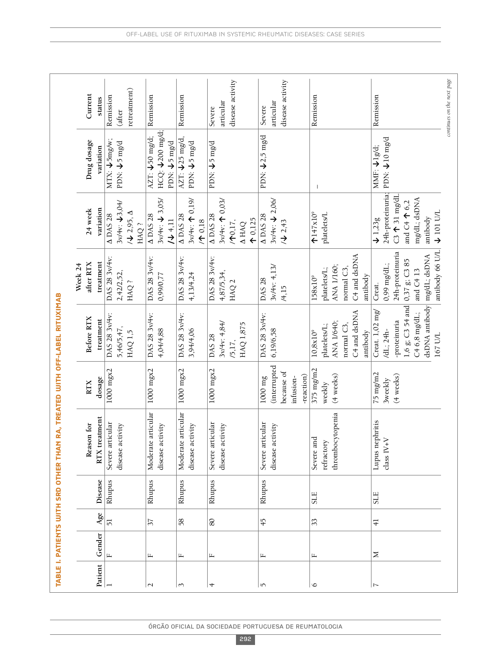|                |              |                |         | TABLE I. PATIENTS WITH SRD OTHER THAN RA, TREATED WITH OFF-LABEL RITUXIMAB |                   |                                               |                          |                              |                                            |                            |
|----------------|--------------|----------------|---------|----------------------------------------------------------------------------|-------------------|-----------------------------------------------|--------------------------|------------------------------|--------------------------------------------|----------------------------|
|                |              |                |         |                                                                            |                   |                                               | Week 24                  |                              |                                            |                            |
|                |              |                |         | Reason for                                                                 | RTX               | Before RTX                                    | after RTX                | 24 week                      | Drug dosage                                | Current                    |
| Patient        | Gender       | Age            | Disease | treatment<br>RTX                                                           | dosage            | treatment                                     | treatment                | variation                    | variation                                  | status                     |
|                | $\mathbf{L}$ | $\overline{5}$ | Rhupus  | Severe articular                                                           | $1000$ mgx $2$    | DAS 28 3v/4v:                                 | DAS 28 3v/4v:            | A DAS 28                     | $\overline{\text{MIX}}$ : $\sqrt{5}$ mg/w; | Remission                  |
|                |              |                |         | disease activity                                                           |                   | 5,46/5,47,                                    | 2,42/2,52,               | 3v/4v: 13,04/                | $PDN: \bigcup_{i=1}^{n} mgd$               | (after                     |
|                |              |                |         |                                                                            |                   | HAQ 1,5                                       | HAQ?                     | $/$ $\sqrt{2.95}$ , $\Delta$ |                                            | retreatment)               |
|                |              |                |         |                                                                            |                   |                                               |                          | HAQ?                         |                                            |                            |
| $\sim$         | щ            | 37             | Rhupus  | Moderate articular                                                         | $1000$ mg $x2$    | DAS 28 3v/4v:                                 | DAS 28 3v/4v:            | $\triangle$ DAS 28           | AZT: $\sqrt{50}$ mg/d;                     | Remission                  |
|                |              |                |         | disease activity                                                           |                   | 4,04/4,88                                     | 0,99/0,77                | $3v/4v: \frac{1}{3}05$       | HCQ: ↓200 mg/d;                            |                            |
|                |              |                |         |                                                                            |                   |                                               |                          | /4,11                        | PDN: ↓5 mg/d                               |                            |
| 3              | д,           | 58             | Rhupus  | Moderate articular                                                         | $1000$ mg $x2$    | DAS 28 3v/4v:                                 | DAS 28 3v/4v:            | $\triangle$ DAS 28           | AZT: $125$ mg/d,                           | Remission                  |
|                |              |                |         | disease activity                                                           |                   | 3,94/4,06                                     | 4,13/4,24                | $3v/4v:$ 19/<br>$/$ ↑ 0,18   | PDN: ↓5 mg/d                               |                            |
| 4              | Щ            | 80             |         |                                                                            |                   | DAS 28                                        | DAS 28 3v/4v:            | <b>ADAS 28</b>               | PDN: $\sqrt{5}$ mg/d                       |                            |
|                |              |                | Rhupus  | articular<br>Severe:                                                       | $1000$ mgx $2$    |                                               |                          |                              |                                            | Severe                     |
|                |              |                |         | activity<br>disease                                                        |                   | 3v/4v: 4,84/                                  | 4,87/5,34,               | $3v/4v$ : 1 0,03/            |                                            | articular                  |
|                |              |                |         |                                                                            |                   | /5,17,                                        | HAQ <sub>2</sub>         | $/$ 10, 17,                  |                                            | disease activity           |
|                |              |                |         |                                                                            |                   | HAQ 1,875                                     |                          | <b>A HAQ</b>                 |                                            |                            |
|                |              |                |         |                                                                            |                   |                                               |                          | $\uparrow$ 0,125             |                                            |                            |
| S              | щ            | $\frac{45}{3}$ | Rhupus  | Severe articular                                                           | $1000 \text{ mg}$ | DAS 28 3v/4v:                                 | DAS 28                   | A DAS 28                     | PDN: $\sqrt{2.5}$ mg/d                     | Severe                     |
|                |              |                |         | disease activity                                                           | (interrupted      | 6,19/6,58                                     | 3v/4v: 4,13/             | $3v/4v: \frac{1}{2}06$       |                                            | articular                  |
|                |              |                |         |                                                                            | because of        |                                               | /4,15                    | /42,43                       |                                            | disease activity           |
|                |              |                |         |                                                                            | infusion-         |                                               |                          |                              |                                            |                            |
|                |              |                |         |                                                                            | -reaction)        |                                               |                          |                              |                                            |                            |
| $\circ$        | Щ            | 33             | $SLE$   | Severe and                                                                 | 375 mg/m2         | $10,8x10^9$                                   | 158x10 <sup>9</sup>      | $\uparrow$ 147x10°           | J.                                         | Remission                  |
|                |              |                |         | refractory                                                                 | weekly            | platelets/L;                                  | platelets/L;             | platelets/L                  |                                            |                            |
|                |              |                |         | thrombocytopenia                                                           | (4 weeks)         | ANA 1/640;                                    | ANA 1/160;               |                              |                                            |                            |
|                |              |                |         |                                                                            |                   | normal C3,                                    | normal C3                |                              |                                            |                            |
|                |              |                |         |                                                                            |                   | C4 and dsDNA                                  | C <sub>4</sub> and dsDNA |                              |                                            |                            |
|                |              |                |         |                                                                            |                   | antibody                                      | antibody                 |                              |                                            |                            |
| $\overline{ }$ | Σ            | $\frac{1}{4}$  | SLE     | Lupus nephritis                                                            | $75$ mg/m $2$     | Creat. $1,02$ mg/                             | Creat.                   | $\downarrow$ 1,23g           | MMF: ↓1g/d;                                | Remission                  |
|                |              |                |         | $class IV+V$                                                               | <b>3weekly</b>    | /dL; 24h-                                     | 0,99 mg/dL;              | 24h-proteinuria;             | PDN: ↓10 mg/d                              |                            |
|                |              |                |         |                                                                            | (4 weeks)         | -proteinuria                                  | 24h-proteinuria          | $C3$ $\uparrow$ 31 mg/dI     |                                            |                            |
|                |              |                |         |                                                                            |                   | 1,6 g; C3 54 and                              | $0,37$ g; C3 85          | and $C4 \Upsilon 6,2$        |                                            |                            |
|                |              |                |         |                                                                            |                   | C4 6,8 mg/dL;                                 | and $C4$ 13              | mg/dL; dsDNA                 |                                            |                            |
|                |              |                |         |                                                                            |                   | dsDNA antibody mg/dL; dsDNA<br><b>167 U/L</b> |                          | $\sqrt{101}$ U/L<br>antibody |                                            |                            |
|                |              |                |         |                                                                            |                   |                                               | antibody 66 U/L          |                              |                                            |                            |
|                |              |                |         |                                                                            |                   |                                               |                          |                              |                                            | continues on the next page |

ÓRgÃO OFICIAL DA SOCIEDADE PORTUgUESA DE REUMATOLOgIA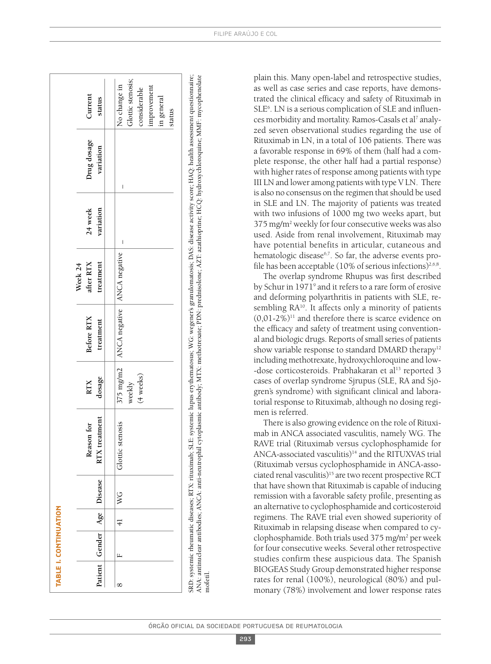|   | TABLE I. CONTINUATION |               |                            |                                |                      |                                           |                                     |                      |                          |                                                                                          |
|---|-----------------------|---------------|----------------------------|--------------------------------|----------------------|-------------------------------------------|-------------------------------------|----------------------|--------------------------|------------------------------------------------------------------------------------------|
|   |                       |               | Patient Gender Age Disease | treatment<br>Reason for<br>RTX | dosage<br><b>RTX</b> | Before RTX<br>treatment                   | treatment<br>after $RTX$<br>Week 24 | variation<br>24 week | Drug dosage<br>variation | Current<br>status                                                                        |
| ∞ | $\mathbb{L}$          | $\frac{1}{4}$ | WG                         | stenosis<br>Glottic            | (4 weeks)<br>weekly  | 375 mg/m2   ANCA negative   ANCA negative |                                     | I                    | I                        | Glottic stenosis;<br>No change in<br>improvement<br>considerable<br>in general<br>status |

SR D: systemic rheumatic diseases; RTX: rituximab; SLE: systemic lupus erythematosus; W G: wegener's granulomatosis; D AS: disease activity score; H A Q: health assessment questionnaire; A N A: antinuclear antibodies; A N C A: anti-neutrophil cytoplasmic antibody; MTX: methotrexate; PD N: prednisolone; AZT: azathioprine; H  $\subseteq$ Q: hydroxychloroquine; M MF: mycophenolate mofetil. plain this. Many open-label and retrospective studies, as well as case series and case reports, have demonstrated the clinical efficacy and safety of Rituximab in SLE<sup>6</sup>. LN is a serious complication of SLE and influences morbidity and mortality. Ramos-Casals et al <sup>7</sup> analyzed seven observational studies regarding the use of Rituximab in LN, in a total of 106 patients. There was a favorable response in 69% of them (half had a complete response, the other half had a partial response) with higher rates of response among patients with type III LN and lower among patients with type V LN. There is also no consensus on the regimen that should be used in SLE and LN. The majority of patients was treated with two infusions of 1000 mg two weeks apart, but 375 mg/m2 weekly for four consecutive weeks was also used. Aside from renal involvement, Rituximab may have potential benefits in articular, cutaneous and hematologic disease6,7 . So far, the adverse events profile has been acceptable (10% of serious infections) $^{2,6,8}$ .

The overlap syndrome Rhupus was first described by Schur in 1971<sup>9</sup> and it refers to a rare form of erosive and deforming polyarthritis in patients with SLE, resembling RA10 . It affects only a minority of patients  $(0.01-2\%)$ <sup>11</sup> and therefore there is scarce evidence on the efficacy and safety of treatment using conventional and biologic drugs. Reports of small series of patients show variable response to standard DMARD therapy<sup>12</sup> including methotrexate, hydroxychloroquine and low- -dose corticosteroids. Prabhakaran et al <sup>13</sup> reported 3 cases of overlap syndrome Sjrupus (SLE, RA and Sjögren's syndrome) with significant clinical and laboratorial response to Rituximab, although no dosing regimen is referred.

There is also growing evidence on the role of Rituximab in ANCA associated vasculitis, namely WG. The RAVE trial (Rituximab versus cyclophosphamide for ANCA-associated vasculitis)<sup>14</sup> and the RITUXVAS trial (Rituximab versus cyclophosphamide in ANCA-associated renal vasculitis) <sup>15</sup> are two recent prospective RCT that have shown that Rituximab is capable of inducing remission with a favorable safety profile, presenting as an alternative to cyclophosphamide and corticosteroid regimens. The RAVE trial even showed superiority of Rituximab in relapsing disease when compared to cyclophosphamide. Both trials used 375 mg/m2 per week for four consecutive weeks. Several other retrospective studies confirm these auspicious data. The Spanish BIOGEAS Study Group demonstrated higher response rates for renal (100%), neurological (80%) and pulmonary (78%) involvement and lower response rates